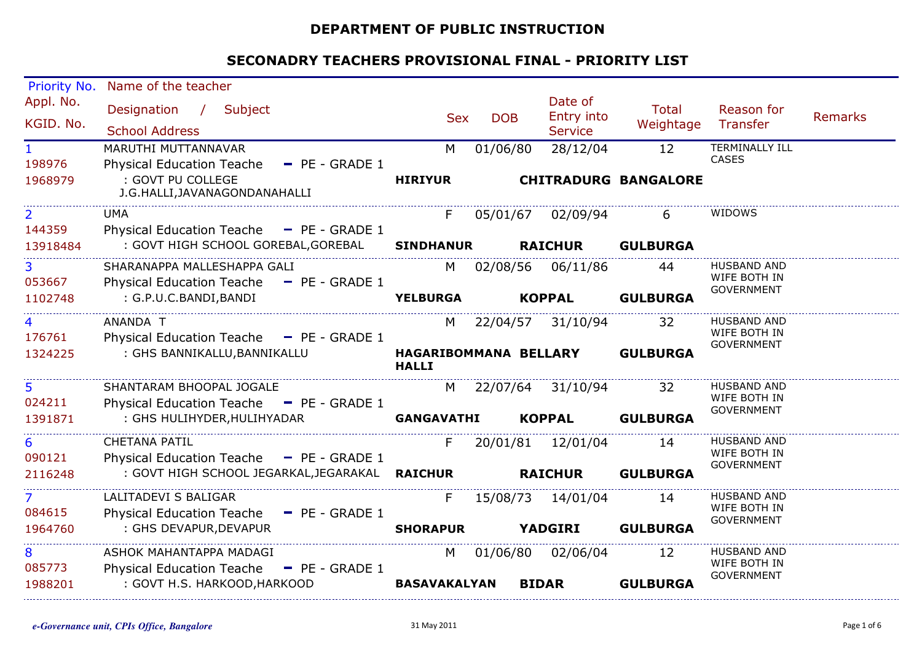#### **DEPARTMENT OF PUBLIC INSTRUCTION**

| Priority No.   | Name of the teacher                                  |                     |            |                             |                 |                                    |         |
|----------------|------------------------------------------------------|---------------------|------------|-----------------------------|-----------------|------------------------------------|---------|
| Appl. No.      | Designation / Subject                                |                     |            | Date of                     | <b>Total</b>    | Reason for                         |         |
| KGID. No.      |                                                      | <b>Sex</b>          | <b>DOB</b> | Entry into                  | Weightage       | Transfer                           | Remarks |
|                | <b>School Address</b>                                |                     |            | <b>Service</b>              |                 |                                    |         |
| $\mathbf{1}$   | MARUTHI MUTTANNAVAR                                  | M                   | 01/06/80   | 28/12/04                    | 12              | <b>TERMINALLY ILL</b>              |         |
| 198976         | Physical Education Teache - PE - GRADE 1             |                     |            |                             |                 | <b>CASES</b>                       |         |
| 1968979        | : GOVT PU COLLEGE                                    | <b>HIRIYUR</b>      |            | <b>CHITRADURG BANGALORE</b> |                 |                                    |         |
|                | J.G.HALLI, JAVANAGONDANAHALLI                        |                     |            |                             |                 |                                    |         |
| $\overline{2}$ | <b>UMA</b>                                           | F.                  |            | 05/01/67 02/09/94           | 6               | <b>WIDOWS</b>                      |         |
| 144359         | Physical Education Teache - PE - GRADE 1             |                     |            |                             |                 |                                    |         |
| 13918484       | : GOVT HIGH SCHOOL GOREBAL, GOREBAL                  | <b>SINDHANUR</b>    |            | <b>RAICHUR</b>              | <b>GULBURGA</b> |                                    |         |
| 3              | SHARANAPPA MALLESHAPPA GALI                          |                     | M 02/08/56 | 06/11/86                    | 44              | <b>HUSBAND AND</b>                 |         |
| 053667         | <b>Physical Education Teache</b><br>$-$ PE - GRADE 1 |                     |            |                             |                 | WIFE BOTH IN<br><b>GOVERNMENT</b>  |         |
| 1102748        | : G.P.U.C.BANDI,BANDI                                | <b>YELBURGA</b>     |            | <b>KOPPAL</b>               | <b>GULBURGA</b> |                                    |         |
|                | ANANDA T                                             |                     |            | M 22/04/57 31/10/94         | 32              | <b>HUSBAND AND</b>                 |         |
| 176761         | Physical Education Teache - PE - GRADE 1             |                     |            |                             |                 | WIFE BOTH IN                       |         |
| 1324225        | : GHS BANNIKALLU, BANNIKALLU                         |                     |            | HAGARIBOMMANA BELLARY       | <b>GULBURGA</b> | GOVERNMENT                         |         |
|                |                                                      | <b>HALLI</b>        |            |                             |                 |                                    |         |
| 5              | SHANTARAM BHOOPAL JOGALE                             | M                   |            | 22/07/64 31/10/94           | 32              | <b>HUSBAND AND</b>                 |         |
| 024211         | Physical Education Teache - PE - GRADE 1             |                     |            |                             |                 | WIFE BOTH IN<br><b>GOVERNMENT</b>  |         |
| 1391871        | : GHS HULIHYDER, HULIHYADAR                          | <b>GANGAVATHI</b>   |            | <b>KOPPAL</b>               | <b>GULBURGA</b> |                                    |         |
| 6              | <b>CHETANA PATIL</b>                                 | F.                  | 20/01/81   | 12/01/04                    | 14              | <b>HUSBAND AND</b>                 |         |
| 090121         | Physical Education Teache - PE - GRADE 1             |                     |            |                             |                 | WIFE BOTH IN                       |         |
| 2116248        | : GOVT HIGH SCHOOL JEGARKAL, JEGARAKAL RAICHUR       |                     |            | <b>RAICHUR</b>              | <b>GULBURGA</b> | GOVERNMENT                         |         |
| $\overline{7}$ | LALITADEVI S BALIGAR                                 |                     |            |                             |                 | <b>HUSBAND AND</b>                 |         |
| 084615         | Physical Education Teache - PE - GRADE 1             | F.                  | 15/08/73   | 14/01/04                    | 14              | WIFE BOTH IN                       |         |
| 1964760        | : GHS DEVAPUR, DEVAPUR                               | <b>SHORAPUR</b>     |            | <b>YADGIRI</b>              | <b>GULBURGA</b> | <b>GOVERNMENT</b>                  |         |
|                |                                                      |                     |            |                             |                 |                                    |         |
| 8              | ASHOK MAHANTAPPA MADAGI                              | M                   |            | 01/06/80 02/06/04           | 12              | <b>HUSBAND AND</b><br>WIFE BOTH IN |         |
| 085773         | Physical Education Teache $-$ PE - GRADE 1           |                     |            |                             |                 | GOVERNMENT                         |         |
| 1988201        | : GOVT H.S. HARKOOD, HARKOOD                         | <b>BASAVAKALYAN</b> |            | <b>BIDAR</b>                | <b>GULBURGA</b> |                                    |         |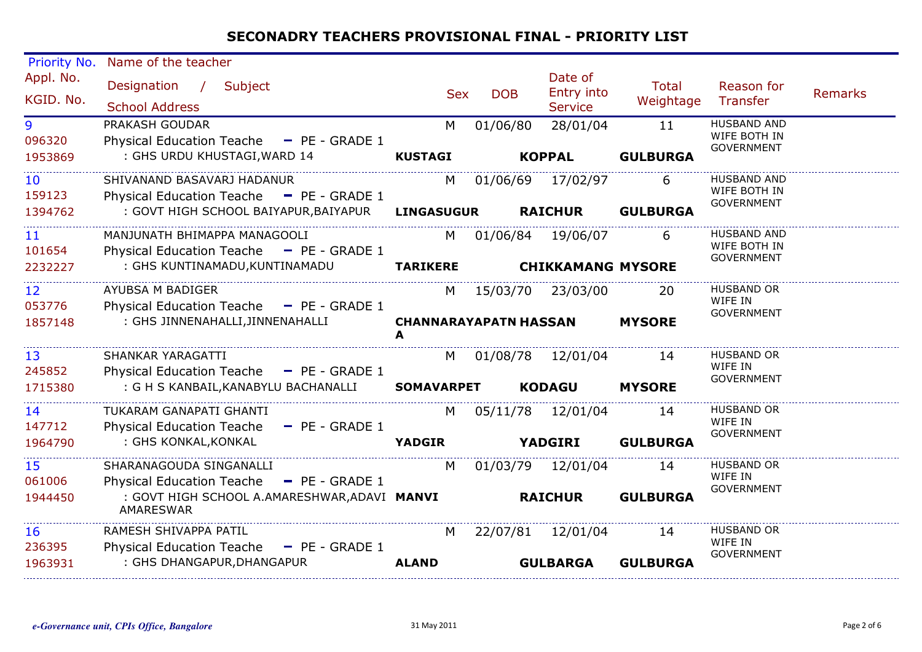| <b>Priority No.</b> | Name of the teacher                                              |                                   |                |                          |                 |                                   |                |
|---------------------|------------------------------------------------------------------|-----------------------------------|----------------|--------------------------|-----------------|-----------------------------------|----------------|
| Appl. No.           | Designation /<br>Subject                                         | <b>Sex</b>                        | <b>DOB</b>     | Date of<br>Entry into    | <b>Total</b>    | Reason for                        | <b>Remarks</b> |
| KGID. No.           | <b>School Address</b>                                            |                                   |                | <b>Service</b>           | Weightage       | <b>Transfer</b>                   |                |
| 9                   | PRAKASH GOUDAR                                                   | M                                 | 01/06/80       | 28/01/04                 | 11              | <b>HUSBAND AND</b>                |                |
| 096320              | Physical Education Teache - PE - GRADE 1                         |                                   |                |                          |                 | WIFE BOTH IN<br><b>GOVERNMENT</b> |                |
| 1953869             | : GHS URDU KHUSTAGI, WARD 14                                     | <b>KUSTAGI</b>                    |                | <b>KOPPAL</b>            | <b>GULBURGA</b> |                                   |                |
| 10                  | SHIVANAND BASAVARJ HADANUR                                       | M                                 | 01/06/69       | 17/02/97                 | 6               | <b>HUSBAND AND</b>                |                |
| 159123              | Physical Education Teache - PE - GRADE 1                         |                                   |                |                          |                 | WIFE BOTH IN<br><b>GOVERNMENT</b> |                |
| 1394762             | : GOVT HIGH SCHOOL BAIYAPUR, BAIYAPUR                            | <b>LINGASUGUR</b>                 | <b>RAICHUR</b> |                          | <b>GULBURGA</b> |                                   |                |
| 11                  | MANJUNATH BHIMAPPA MANAGOOLI                                     |                                   |                | M 01/06/84 19/06/07      | 6               | <b>HUSBAND AND</b>                |                |
| 101654              | Physical Education Teache - PE - GRADE 1                         |                                   |                |                          |                 | WIFE BOTH IN<br><b>GOVERNMENT</b> |                |
| 2232227             | : GHS KUNTINAMADU, KUNTINAMADU                                   | <b>TARIKERE</b>                   |                | <b>CHIKKAMANG MYSORE</b> |                 |                                   |                |
| 12                  | AYUBSA M BADIGER                                                 | M                                 |                | 15/03/70 23/03/00        | 20              | <b>HUSBAND OR</b>                 |                |
| 053776              | Physical Education Teache - PE - GRADE 1                         |                                   |                |                          |                 | WIFE IN<br><b>GOVERNMENT</b>      |                |
| 1857148             | : GHS JINNENAHALLI, JINNENAHALLI                                 | <b>CHANNARAYAPATN HASSAN</b><br>A |                |                          | <b>MYSORE</b>   |                                   |                |
| 13                  | SHANKAR YARAGATTI                                                | M                                 | 01/08/78       | 12/01/04                 | 14              | <b>HUSBAND OR</b>                 |                |
| 245852              | <b>Physical Education Teache</b><br>$-$ PE - GRADE 1             |                                   |                |                          |                 | WIFE IN<br><b>GOVERNMENT</b>      |                |
| 1715380             | : G H S KANBAIL, KANABYLU BACHANALLI                             | <b>SOMAVARPET</b>                 |                | <b>KODAGU</b>            | <b>MYSORE</b>   |                                   |                |
| 14                  | TUKARAM GANAPATI GHANTI                                          | M                                 | 05/11/78       | 12/01/04                 | 14              | <b>HUSBAND OR</b>                 |                |
| 147712              | <b>Physical Education Teache</b><br>$-$ PE - GRADE 1             |                                   |                |                          |                 | WIFE IN<br><b>GOVERNMENT</b>      |                |
| 1964790             | : GHS KONKAL, KONKAL                                             | <b>YADGIR</b>                     |                | <b>YADGIRI</b>           | <b>GULBURGA</b> |                                   |                |
| 15                  | SHARANAGOUDA SINGANALLI                                          | M                                 |                | 01/03/79 12/01/04        | 14              | <b>HUSBAND OR</b>                 |                |
| 061006              | Physical Education Teache - PE - GRADE 1                         |                                   |                |                          |                 | WIFE IN<br>GOVERNMENT             |                |
| 1944450             | : GOVT HIGH SCHOOL A.AMARESHWAR, ADAVI MANVI<br><b>AMARESWAR</b> |                                   |                | <b>RAICHUR</b>           | <b>GULBURGA</b> |                                   |                |
| 16                  | RAMESH SHIVAPPA PATIL                                            | M                                 | 22/07/81       | 12/01/04                 | 14              | <b>HUSBAND OR</b>                 |                |
| 236395              | Physical Education Teache - PE - GRADE 1                         |                                   |                |                          |                 | WIFE IN<br><b>GOVERNMENT</b>      |                |
| 1963931             | : GHS DHANGAPUR, DHANGAPUR                                       | <b>ALAND</b>                      |                | <b>GULBARGA</b>          | <b>GULBURGA</b> |                                   |                |
|                     |                                                                  |                                   |                |                          |                 |                                   |                |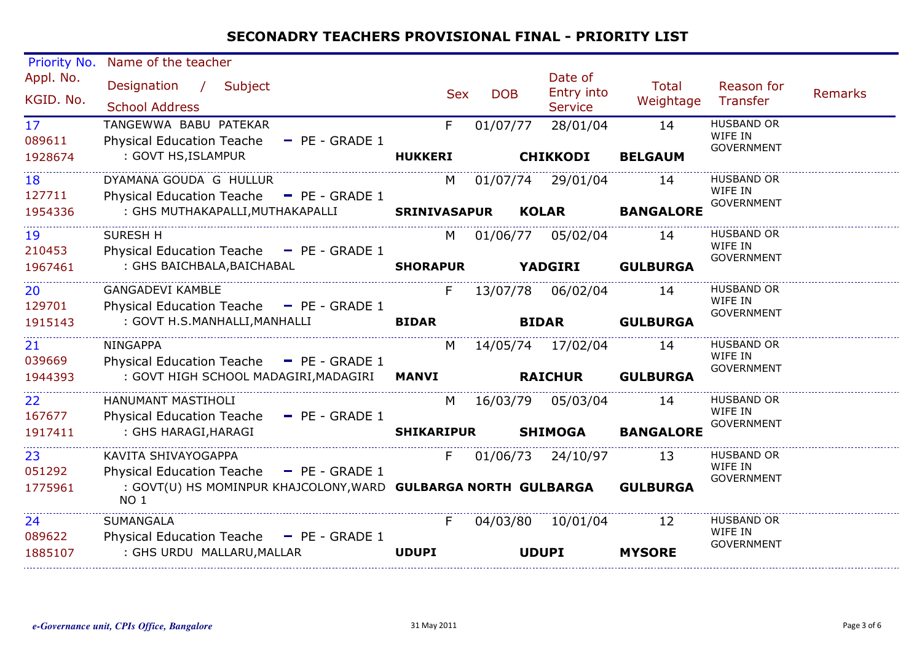| Priority No.              | Name of the teacher                                                                                                |                   |                     |                                         |                    |                                                   |                |
|---------------------------|--------------------------------------------------------------------------------------------------------------------|-------------------|---------------------|-----------------------------------------|--------------------|---------------------------------------------------|----------------|
| Appl. No.<br>KGID. No.    | Designation / Subject<br><b>School Address</b>                                                                     | <b>Sex</b>        | <b>DOB</b>          | Date of<br>Entry into<br><b>Service</b> | Total<br>Weightage | Reason for<br>Transfer                            | <b>Remarks</b> |
| 17 <sup>2</sup><br>089611 | TANGEWWA BABU PATEKAR<br>Physical Education Teache - PE - GRADE 1                                                  | F.                | 01/07/77            | 28/01/04                                | 14                 | <b>HUSBAND OR</b><br>WIFE IN<br><b>GOVERNMENT</b> |                |
| 1928674                   | : GOVT HS, ISLAMPUR                                                                                                | <b>HUKKERI</b>    |                     | <b>CHIKKODI</b>                         | <b>BELGAUM</b>     |                                                   |                |
| 18<br>127711              | DYAMANA GOUDA G HULLUR<br>Physical Education Teache - PE - GRADE 1                                                 |                   | M 01/07/74 29/01/04 |                                         | 14                 | <b>HUSBAND OR</b><br>WIFE IN<br><b>GOVERNMENT</b> |                |
| 1954336                   | : GHS MUTHAKAPALLI, MUTHAKAPALLI SRINIVASAPUR KOLAR                                                                |                   |                     |                                         | <b>BANGALORE</b>   |                                                   |                |
| 19<br>210453              | <b>SURESH H</b><br>Physical Education Teache - PE - GRADE 1                                                        | M                 |                     | 01/06/77 05/02/04                       | 14                 | <b>HUSBAND OR</b><br>WIFE IN                      |                |
| 1967461                   | : GHS BAICHBALA, BAICHABAL <b>SHORAPUR</b>                                                                         |                   | <b>YADGIRI</b>      |                                         | <b>GULBURGA</b>    | <b>GOVERNMENT</b>                                 |                |
| 20<br>129701              | <b>GANGADEVI KAMBLE</b><br>Physical Education Teache $\blacksquare$ PE - GRADE 1                                   | F                 |                     | 13/07/78  06/02/04                      | 14                 | <b>HUSBAND OR</b><br>WIFE IN                      |                |
| 1915143                   | : GOVT H.S.MANHALLI, MANHALLI                                                                                      | <b>BIDAR</b>      |                     | <b>BIDAR</b>                            | <b>GULBURGA</b>    | <b>GOVERNMENT</b>                                 |                |
| 21<br>039669              | <b>NINGAPPA</b><br>Physical Education Teache $-$ PE - GRADE 1                                                      | M                 | 14/05/74 17/02/04   |                                         | 14                 | <b>HUSBAND OR</b><br>WIFE IN                      |                |
| 1944393                   | : GOVT HIGH SCHOOL MADAGIRI, MADAGIRI MANVI                                                                        |                   | <b>RAICHUR</b>      |                                         | <b>GULBURGA</b>    | <b>GOVERNMENT</b>                                 |                |
| 22<br>167677              | HANUMANT MASTIHOLI<br>Physical Education Teache - PE - GRADE 1                                                     |                   | M 16/03/79 05/03/04 |                                         | 14                 | <b>HUSBAND OR</b><br>WIFE IN                      |                |
| 1917411                   | : GHS HARAGI, HARAGI                                                                                               | <b>SHIKARIPUR</b> |                     | <b>SHIMOGA</b>                          | <b>BANGALORE</b>   | <b>GOVERNMENT</b>                                 |                |
| 23                        | KAVITA SHIVAYOGAPPA                                                                                                | F.                |                     | 01/06/73 24/10/97                       | 13                 | <b>HUSBAND OR</b><br>WIFE IN                      |                |
| 051292<br>1775961         | Physical Education Teache - PE - GRADE 1<br>: GOVT(U) HS MOMINPUR KHAJCOLONY, WARD GULBARGA NORTH GULBARGA<br>NO 1 |                   |                     |                                         | <b>GULBURGA</b>    | <b>GOVERNMENT</b>                                 |                |
| 24                        | SUMANGALA                                                                                                          | F.                |                     | 04/03/80 10/01/04                       | 12                 | <b>HUSBAND OR</b><br>WIFE IN                      |                |
| 089622<br>1885107         | Physical Education Teache - PE - GRADE 1<br>: GHS URDU MALLARU, MALLAR                                             | <b>UDUPI</b>      |                     | <b>UDUPI</b>                            | <b>MYSORE</b>      | <b>GOVERNMENT</b>                                 |                |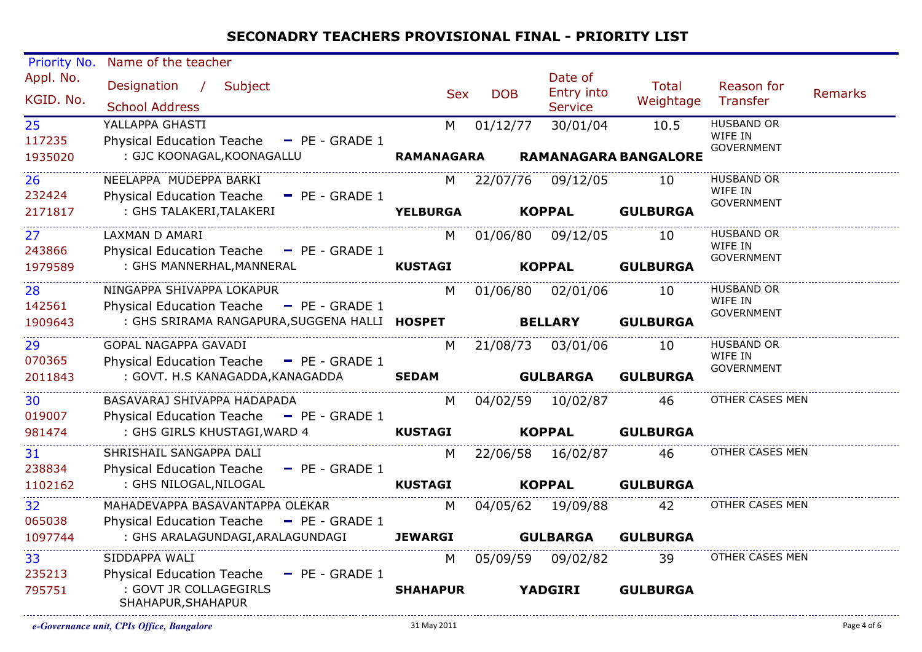| Priority No.<br>Appl. No. | Name of the teacher                                                                       |                   |            | Date of                    |                             |                              |         |
|---------------------------|-------------------------------------------------------------------------------------------|-------------------|------------|----------------------------|-----------------------------|------------------------------|---------|
| KGID. No.                 | Designation / Subject<br><b>School Address</b>                                            | <b>Sex</b>        | <b>DOB</b> | Entry into                 | <b>Total</b><br>Weightage   | Reason for<br>Transfer       | Remarks |
| 25                        | YALLAPPA GHASTI                                                                           | M                 | 01/12/77   | <b>Service</b><br>30/01/04 | 10.5                        | <b>HUSBAND OR</b>            |         |
| 117235                    | Physical Education Teache - PE - GRADE 1                                                  |                   |            |                            |                             | WIFE IN                      |         |
| 1935020                   | : GJC KOONAGAL, KOONAGALLU                                                                | <b>RAMANAGARA</b> |            |                            | <b>RAMANAGARA BANGALORE</b> | <b>GOVERNMENT</b>            |         |
| 26                        | NEELAPPA MUDEPPA BARKI                                                                    | M                 |            | 22/07/76 09/12/05          | 10                          | <b>HUSBAND OR</b><br>WIFE IN |         |
| 232424                    | Physical Education Teache - PE - GRADE 1                                                  |                   |            |                            |                             | <b>GOVERNMENT</b>            |         |
| 2171817                   | : GHS TALAKERI, TALAKERI                                                                  | <b>YELBURGA</b>   |            | <b>KOPPAL</b>              | <b>GULBURGA</b>             |                              |         |
| 27 <sub>2</sub>           | LAXMAN D AMARI                                                                            | M                 |            | 01/06/80 09/12/05          | 10                          | <b>HUSBAND OR</b><br>WIFE IN |         |
| 243866                    | Physical Education Teache - PE - GRADE 1<br>: GHS MANNERHAL, MANNERAL                     |                   |            | <b>KOPPAL</b>              | <b>GULBURGA</b>             | <b>GOVERNMENT</b>            |         |
| 1979589                   |                                                                                           | <b>KUSTAGI</b>    |            |                            |                             |                              |         |
| 28                        | NINGAPPA SHIVAPPA LOKAPUR                                                                 | M.                |            | 01/06/80 02/01/06          | 10                          | <b>HUSBAND OR</b><br>WIFE IN |         |
| 142561<br>1909643         | Physical Education Teache - PE - GRADE 1<br>: GHS SRIRAMA RANGAPURA, SUGGENA HALLI HOSPET |                   |            | <b>BELLARY</b>             | <b>GULBURGA</b>             | <b>GOVERNMENT</b>            |         |
|                           |                                                                                           |                   |            |                            |                             |                              |         |
| 29                        | GOPAL NAGAPPA GAVADI                                                                      | M                 |            | 21/08/73 03/01/06          | 10                          | <b>HUSBAND OR</b><br>WIFE IN |         |
| 070365                    | Physical Education Teache - PE - GRADE 1                                                  |                   |            |                            |                             | <b>GOVERNMENT</b>            |         |
| 2011843                   | : GOVT. H.S KANAGADDA,KANAGADDA                                                           | <b>SEDAM</b>      |            | <b>GULBARGA</b>            | <b>GULBURGA</b>             |                              |         |
| 30                        | BASAVARAJ SHIVAPPA HADAPADA                                                               | M                 |            | 04/02/59 10/02/87          | 46                          | OTHER CASES MEN              |         |
| 019007                    | Physical Education Teache - PE - GRADE 1                                                  |                   |            |                            |                             |                              |         |
| 981474                    | : GHS GIRLS KHUSTAGI, WARD 4                                                              | <b>KUSTAGI</b>    |            | <b>KOPPAL</b>              | <b>GULBURGA</b>             |                              |         |
| 31                        | SHRISHAIL SANGAPPA DALI                                                                   | M.                |            | 22/06/58 16/02/87          | 46                          | OTHER CASES MEN              |         |
| 238834                    | <b>Physical Education Teache</b><br>$-$ PE - GRADE 1                                      |                   |            |                            |                             |                              |         |
| 1102162                   | : GHS NILOGAL, NILOGAL                                                                    | <b>KUSTAGI</b>    |            | <b>KOPPAL</b>              | <b>GULBURGA</b>             |                              |         |
| 32                        | MAHADEVAPPA BASAVANTAPPA OLEKAR                                                           | M                 |            | 04/05/62 19/09/88          | 42                          | OTHER CASES MEN              |         |
| 065038<br>1097744         | Physical Education Teache - PE - GRADE 1<br>: GHS ARALAGUNDAGI, ARALAGUNDAGI              | <b>JEWARGI</b>    |            | <b>GULBARGA</b>            | <b>GULBURGA</b>             |                              |         |
|                           |                                                                                           |                   |            |                            |                             |                              |         |
| 33<br>235213              | SIDDAPPA WALI                                                                             | M                 | 05/09/59   | 09/02/82                   | 39                          | OTHER CASES MEN              |         |
| 795751                    | Physical Education Teache - PE - GRADE 1<br>: GOVT JR COLLAGEGIRLS<br>SHAHAPUR, SHAHAPUR  | <b>SHAHAPUR</b>   |            | <b>YADGIRI</b>             | <b>GULBURGA</b>             |                              |         |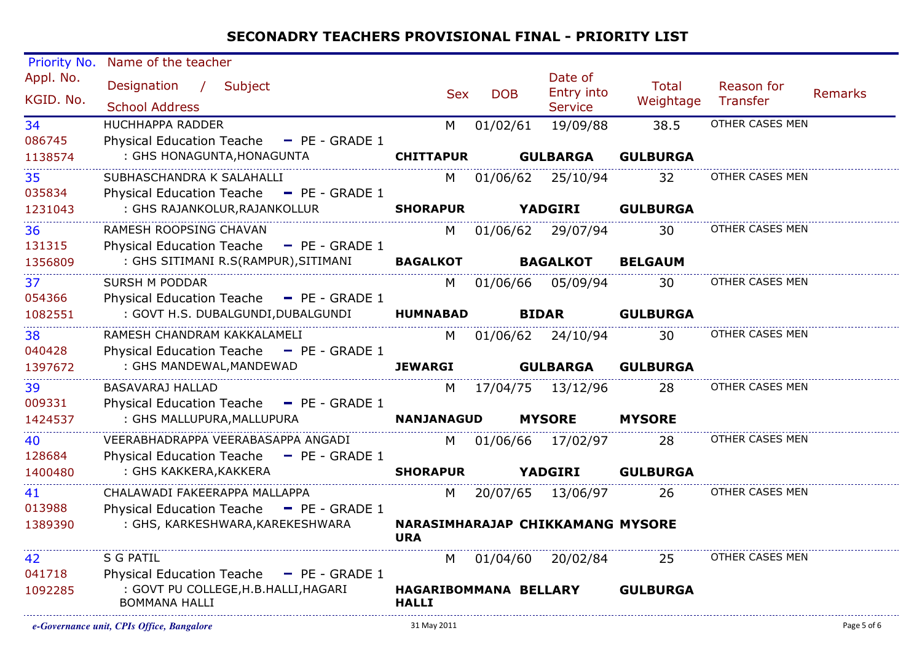| Priority No. | Name of the teacher                                           |                                       |            |                                  |                 |                 |                |
|--------------|---------------------------------------------------------------|---------------------------------------|------------|----------------------------------|-----------------|-----------------|----------------|
| Appl. No.    | Designation / Subject                                         |                                       |            | Date of                          | Total           | Reason for      |                |
| KGID. No.    | <b>School Address</b>                                         | <b>Sex</b>                            | <b>DOB</b> | Entry into<br><b>Service</b>     | Weightage       | Transfer        | <b>Remarks</b> |
| 34           | <b>HUCHHAPPA RADDER</b>                                       | M                                     | 01/02/61   | 19/09/88                         | 38.5            | OTHER CASES MEN |                |
| 086745       | <b>Physical Education Teache</b><br>$-$ PE - GRADE 1          |                                       |            |                                  |                 |                 |                |
| 1138574      | : GHS HONAGUNTA, HONAGUNTA                                    | <b>CHITTAPUR</b>                      |            | <b>GULBARGA</b>                  | <b>GULBURGA</b> |                 |                |
| 35           | SUBHASCHANDRA K SALAHALLI                                     | M                                     | 01/06/62   | 25/10/94                         | 32              | OTHER CASES MEN |                |
| 035834       | Physical Education Teache - PE - GRADE 1                      |                                       |            |                                  |                 |                 |                |
| 1231043      | : GHS RAJANKOLUR, RAJANKOLLUR                                 | <b>SHORAPUR</b>                       |            | <b>YADGIRI</b>                   | <b>GULBURGA</b> |                 |                |
| 36           | RAMESH ROOPSING CHAVAN                                        | M                                     |            | 01/06/62 29/07/94                | 30              | OTHER CASES MEN |                |
| 131315       | <b>Physical Education Teache</b><br>$-$ PE - GRADE 1          |                                       |            |                                  |                 |                 |                |
| 1356809      | : GHS SITIMANI R.S(RAMPUR), SITIMANI                          | <b>BAGALKOT</b>                       |            | <b>BAGALKOT</b>                  | <b>BELGAUM</b>  |                 |                |
| 37           | <b>SURSH M PODDAR</b>                                         | M                                     | 01/06/66   | 05/09/94                         | 30              | OTHER CASES MEN |                |
| 054366       | Physical Education Teache - PE - GRADE 1                      |                                       |            |                                  |                 |                 |                |
| 1082551      | : GOVT H.S. DUBALGUNDI, DUBALGUNDI                            | <b>HUMNABAD</b>                       |            | <b>BIDAR</b>                     | <b>GULBURGA</b> |                 |                |
| 38           | RAMESH CHANDRAM KAKKALAMELI                                   | M                                     |            | 01/06/62 24/10/94                | 30              | OTHER CASES MEN |                |
| 040428       | Physical Education Teache - PE - GRADE 1                      |                                       |            |                                  |                 |                 |                |
| 1397672      | : GHS MANDEWAL, MANDEWAD                                      | <b>JEWARGI</b>                        |            | <b>GULBARGA</b>                  | <b>GULBURGA</b> |                 |                |
| 39           | <b>BASAVARAJ HALLAD</b>                                       | M                                     |            | 17/04/75  13/12/96               | 28              | OTHER CASES MEN |                |
| 009331       | Physical Education Teache - PE - GRADE 1                      |                                       |            |                                  |                 |                 |                |
| 1424537      | : GHS MALLUPURA, MALLUPURA                                    | <b>NANJANAGUD</b>                     |            | <b>MYSORE</b>                    | <b>MYSORE</b>   |                 |                |
| 40           | VEERABHADRAPPA VEERABASAPPA ANGADI                            | M                                     | 01/06/66   | 17/02/97                         | 28              | OTHER CASES MEN |                |
| 128684       | Physical Education Teache - PE - GRADE 1                      |                                       |            |                                  |                 |                 |                |
| 1400480      | : GHS KAKKERA, KAKKERA                                        | <b>SHORAPUR</b>                       |            | <b>YADGIRI</b>                   | <b>GULBURGA</b> |                 |                |
| 41           | CHALAWADI FAKEERAPPA MALLAPPA                                 | M                                     |            | 20/07/65 13/06/97                | 26              | OTHER CASES MEN |                |
| 013988       | Physical Education Teache - PE - GRADE 1                      |                                       |            |                                  |                 |                 |                |
| 1389390      | : GHS, KARKESHWARA, KAREKESHWARA                              | <b>URA</b>                            |            | NARASIMHARAJAP CHIKKAMANG MYSORE |                 |                 |                |
| 42           | S G PATIL                                                     | M                                     |            | 01/04/60 20/02/84                | 25              | OTHER CASES MEN |                |
| 041718       | Physical Education Teache - PE - GRADE 1                      |                                       |            |                                  |                 |                 |                |
| 1092285      | : GOVT PU COLLEGE, H.B. HALLI, HAGARI<br><b>BOMMANA HALLI</b> | HAGARIBOMMANA BELLARY<br><b>HALLI</b> |            |                                  | <b>GULBURGA</b> |                 |                |
|              |                                                               |                                       |            |                                  |                 |                 |                |